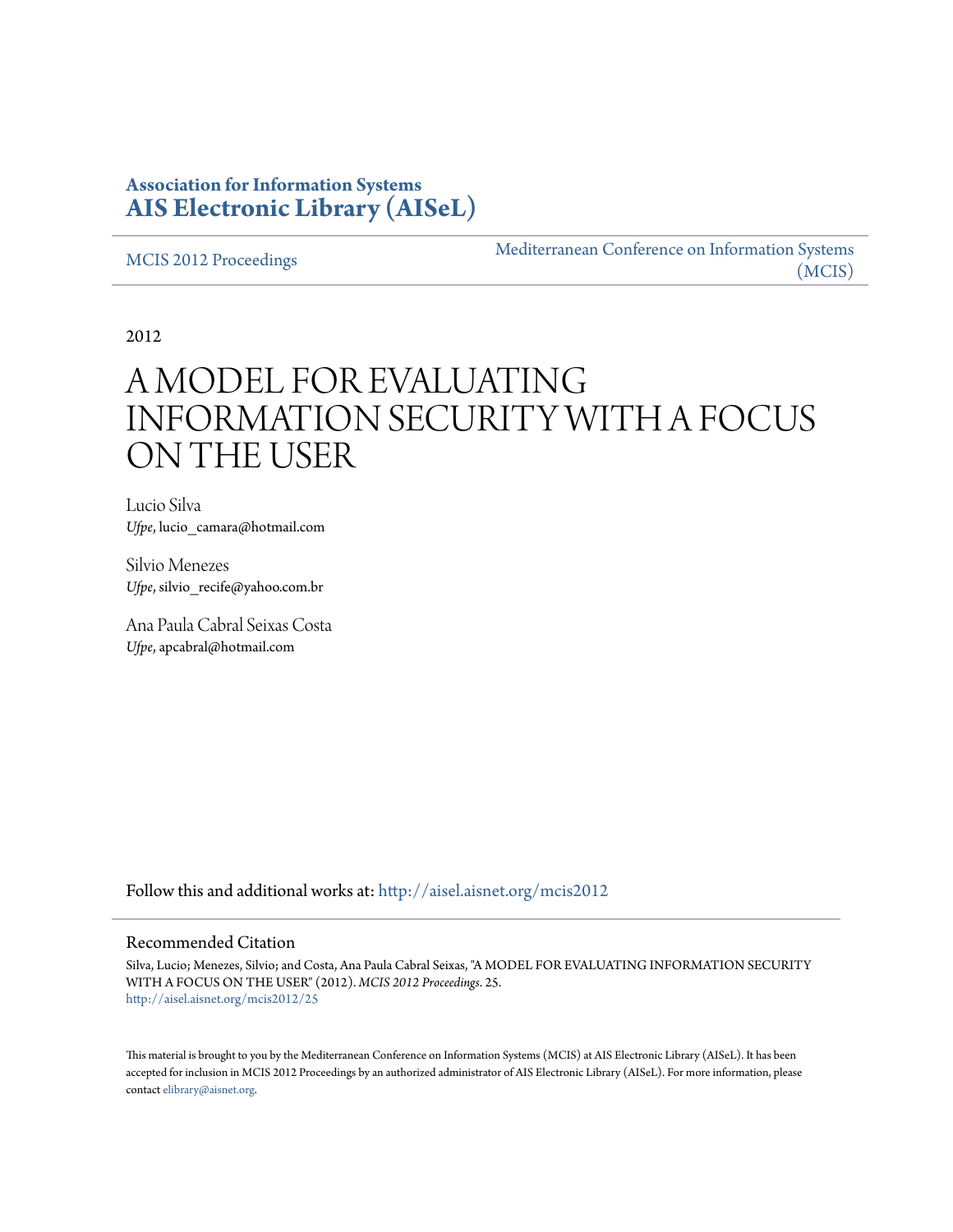## **Association for Information Systems [AIS Electronic Library \(AISeL\)](http://aisel.aisnet.org?utm_source=aisel.aisnet.org%2Fmcis2012%2F25&utm_medium=PDF&utm_campaign=PDFCoverPages)**

[MCIS 2012 Proceedings](http://aisel.aisnet.org/mcis2012?utm_source=aisel.aisnet.org%2Fmcis2012%2F25&utm_medium=PDF&utm_campaign=PDFCoverPages)

[Mediterranean Conference on Information Systems](http://aisel.aisnet.org/mcis?utm_source=aisel.aisnet.org%2Fmcis2012%2F25&utm_medium=PDF&utm_campaign=PDFCoverPages) [\(MCIS\)](http://aisel.aisnet.org/mcis?utm_source=aisel.aisnet.org%2Fmcis2012%2F25&utm_medium=PDF&utm_campaign=PDFCoverPages)

2012

# A MODEL FOR EVALUATING INFORMATION SECURITY WITH A FOCUS ON THE USER

Lucio Silva *Ufpe*, lucio\_camara@hotmail.com

Silvio Menezes *Ufpe*, silvio recife@yahoo.com.br

Ana Paula Cabral Seixas Costa *Ufpe*, apcabral@hotmail.com

Follow this and additional works at: [http://aisel.aisnet.org/mcis2012](http://aisel.aisnet.org/mcis2012?utm_source=aisel.aisnet.org%2Fmcis2012%2F25&utm_medium=PDF&utm_campaign=PDFCoverPages)

#### Recommended Citation

Silva, Lucio; Menezes, Silvio; and Costa, Ana Paula Cabral Seixas, "A MODEL FOR EVALUATING INFORMATION SECURITY WITH A FOCUS ON THE USER" (2012). *MCIS 2012 Proceedings*. 25. [http://aisel.aisnet.org/mcis2012/25](http://aisel.aisnet.org/mcis2012/25?utm_source=aisel.aisnet.org%2Fmcis2012%2F25&utm_medium=PDF&utm_campaign=PDFCoverPages)

This material is brought to you by the Mediterranean Conference on Information Systems (MCIS) at AIS Electronic Library (AISeL). It has been accepted for inclusion in MCIS 2012 Proceedings by an authorized administrator of AIS Electronic Library (AISeL). For more information, please contact [elibrary@aisnet.org.](mailto:elibrary@aisnet.org%3E)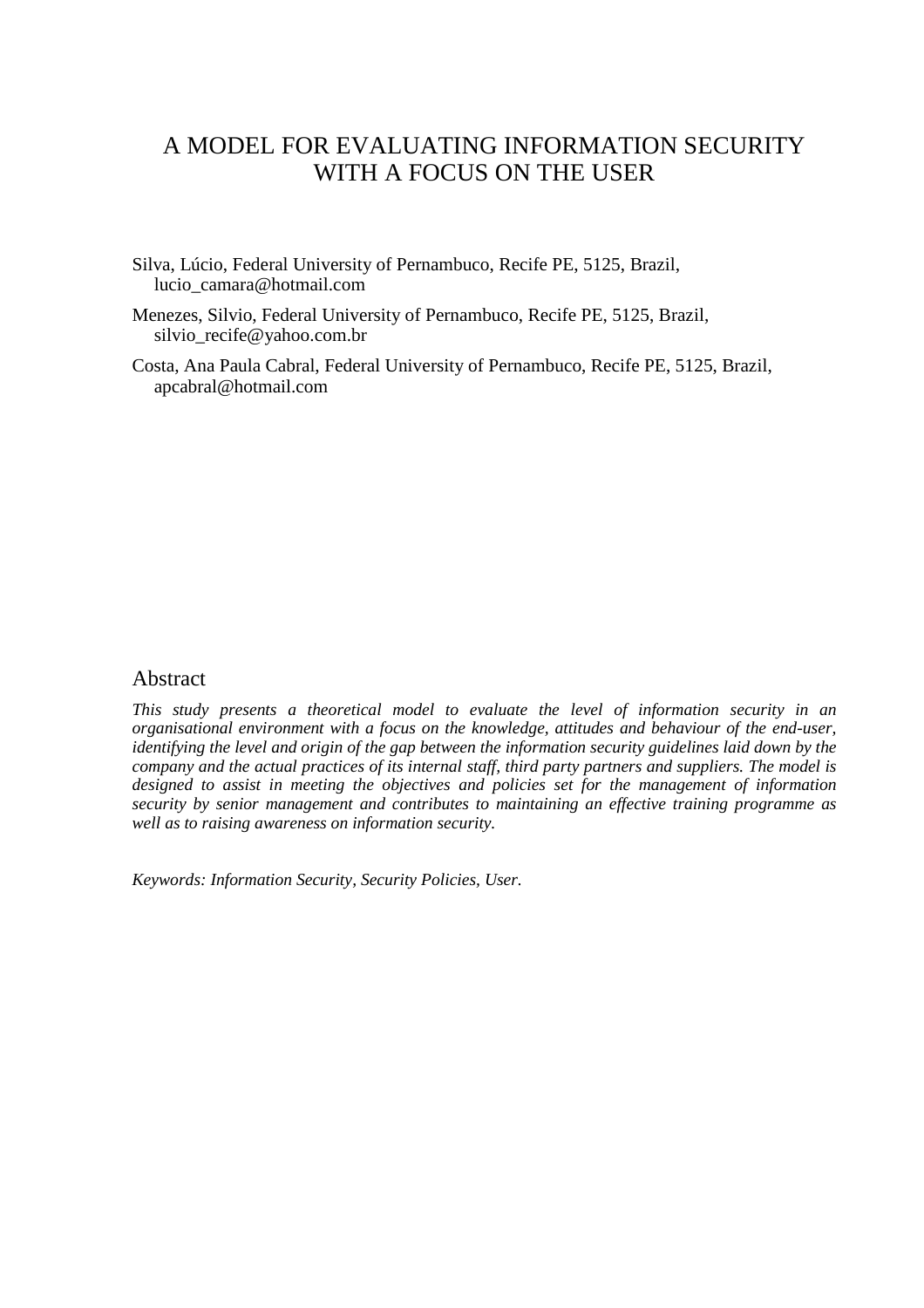# A MODEL FOR EVALUATING INFORMATION SECURITY WITH A FOCUS ON THE USER

Silva, Lúcio, Federal University of Pernambuco, Recife PE, 5125, Brazil, lucio\_camara@hotmail.com

Menezes, Silvio, Federal University of Pernambuco, Recife PE, 5125, Brazil, silvio recife@yahoo.com.br

Costa, Ana Paula Cabral, Federal University of Pernambuco, Recife PE, 5125, Brazil, apcabral@hotmail.com

#### Abstract

*This study presents a theoretical model to evaluate the level of information security in an organisational environment with a focus on the knowledge, attitudes and behaviour of the end-user, identifying the level and origin of the gap between the information security guidelines laid down by the company and the actual practices of its internal staff, third party partners and suppliers. The model is designed to assist in meeting the objectives and policies set for the management of information security by senior management and contributes to maintaining an effective training programme as well as to raising awareness on information security.* 

*Keywords: Information Security, Security Policies, User.*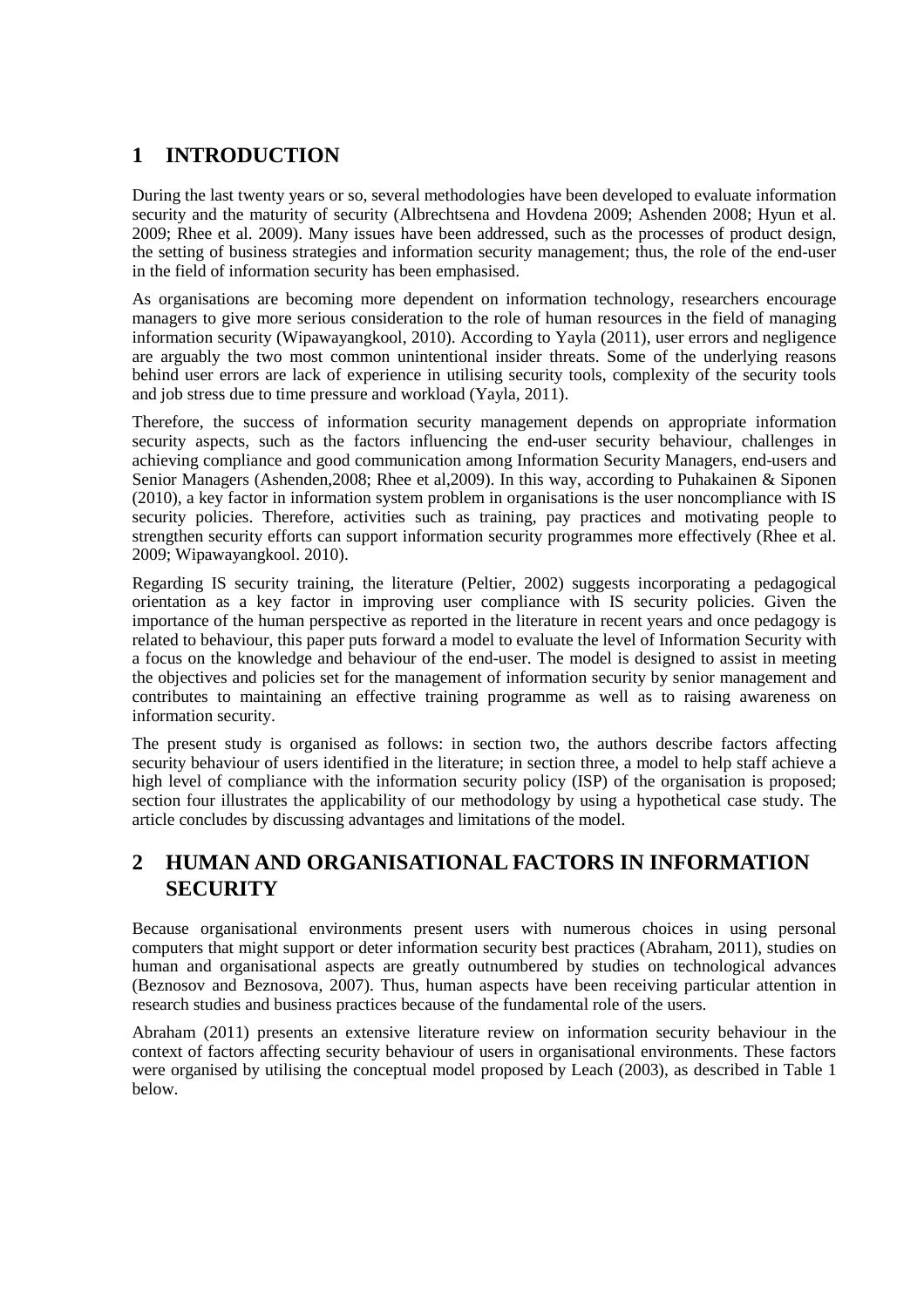# **1 INTRODUCTION**

During the last twenty years or so, several methodologies have been developed to evaluate information security and the maturity of security (Albrechtsena and Hovdena 2009; Ashenden 2008; Hyun et al. 2009; Rhee et al. 2009). Many issues have been addressed, such as the processes of product design, the setting of business strategies and information security management; thus, the role of the end-user in the field of information security has been emphasised.

As organisations are becoming more dependent on information technology, researchers encourage managers to give more serious consideration to the role of human resources in the field of managing information security (Wipawayangkool, 2010). According to Yayla (2011), user errors and negligence are arguably the two most common unintentional insider threats. Some of the underlying reasons behind user errors are lack of experience in utilising security tools, complexity of the security tools and job stress due to time pressure and workload (Yayla, 2011).

Therefore, the success of information security management depends on appropriate information security aspects, such as the factors influencing the end-user security behaviour, challenges in achieving compliance and good communication among Information Security Managers, end-users and Senior Managers (Ashenden,2008; Rhee et al,2009). In this way, according to Puhakainen & Siponen (2010), a key factor in information system problem in organisations is the user noncompliance with IS security policies. Therefore, activities such as training, pay practices and motivating people to strengthen security efforts can support information security programmes more effectively (Rhee et al. 2009; Wipawayangkool. 2010).

Regarding IS security training, the literature (Peltier, 2002) suggests incorporating a pedagogical orientation as a key factor in improving user compliance with IS security policies. Given the importance of the human perspective as reported in the literature in recent years and once pedagogy is related to behaviour, this paper puts forward a model to evaluate the level of Information Security with a focus on the knowledge and behaviour of the end-user. The model is designed to assist in meeting the objectives and policies set for the management of information security by senior management and contributes to maintaining an effective training programme as well as to raising awareness on information security.

The present study is organised as follows: in section two, the authors describe factors affecting security behaviour of users identified in the literature; in section three, a model to help staff achieve a high level of compliance with the information security policy (ISP) of the organisation is proposed; section four illustrates the applicability of our methodology by using a hypothetical case study. The article concludes by discussing advantages and limitations of the model.

# **2 HUMAN AND ORGANISATIONAL FACTORS IN INFORMATION SECURITY**

Because organisational environments present users with numerous choices in using personal computers that might support or deter information security best practices (Abraham, 2011), studies on human and organisational aspects are greatly outnumbered by studies on technological advances (Beznosov and Beznosova, 2007). Thus, human aspects have been receiving particular attention in research studies and business practices because of the fundamental role of the users.

Abraham (2011) presents an extensive literature review on information security behaviour in the context of factors affecting security behaviour of users in organisational environments. These factors were organised by utilising the conceptual model proposed by Leach (2003), as described in Table 1 below.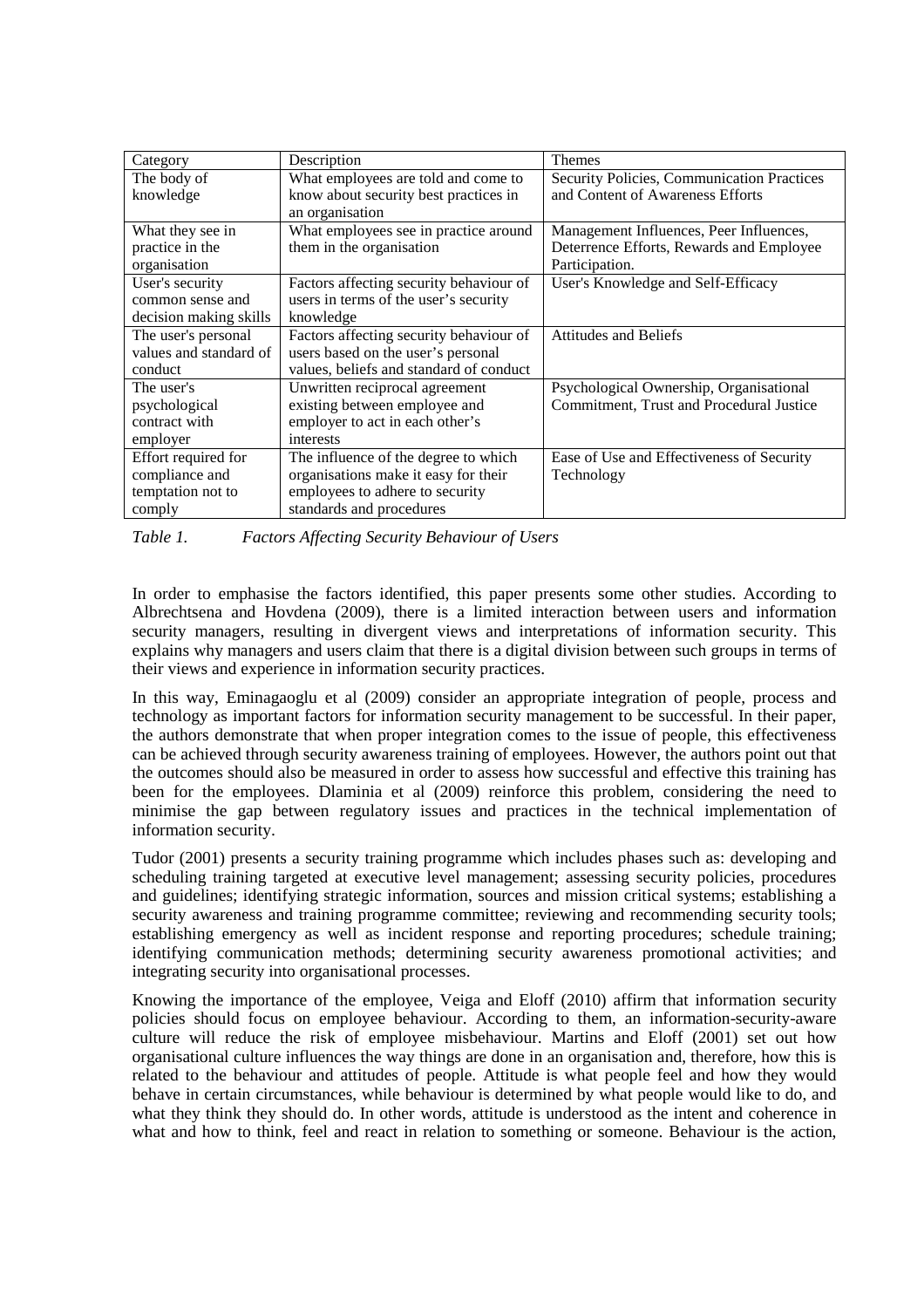| Category               | Description                             | <b>Themes</b>                              |
|------------------------|-----------------------------------------|--------------------------------------------|
| The body of            | What employees are told and come to     | Security Policies, Communication Practices |
| knowledge              | know about security best practices in   | and Content of Awareness Efforts           |
|                        | an organisation                         |                                            |
| What they see in       | What employees see in practice around   | Management Influences, Peer Influences,    |
| practice in the        | them in the organisation                | Deterrence Efforts, Rewards and Employee   |
| organisation           |                                         | Participation.                             |
| User's security        | Factors affecting security behaviour of | User's Knowledge and Self-Efficacy         |
| common sense and       | users in terms of the user's security   |                                            |
| decision making skills | knowledge                               |                                            |
| The user's personal    | Factors affecting security behaviour of | <b>Attitudes and Beliefs</b>               |
| values and standard of | users based on the user's personal      |                                            |
| conduct                | values, beliefs and standard of conduct |                                            |
| The user's             | Unwritten reciprocal agreement          | Psychological Ownership, Organisational    |
| psychological          | existing between employee and           | Commitment, Trust and Procedural Justice   |
| contract with          | employer to act in each other's         |                                            |
| employer               | interests                               |                                            |
| Effort required for    | The influence of the degree to which    | Ease of Use and Effectiveness of Security  |
| compliance and         | organisations make it easy for their    | Technology                                 |
| temptation not to      | employees to adhere to security         |                                            |
| comply                 | standards and procedures                |                                            |

| Table 1. | <b>Factors Affecting Security Behaviour of Users</b> |  |
|----------|------------------------------------------------------|--|
|          |                                                      |  |

In order to emphasise the factors identified, this paper presents some other studies. According to Albrechtsena and Hovdena (2009), there is a limited interaction between users and information security managers, resulting in divergent views and interpretations of information security. This explains why managers and users claim that there is a digital division between such groups in terms of their views and experience in information security practices.

In this way, Eminagaoglu et al (2009) consider an appropriate integration of people, process and technology as important factors for information security management to be successful. In their paper, the authors demonstrate that when proper integration comes to the issue of people, this effectiveness can be achieved through security awareness training of employees. However, the authors point out that the outcomes should also be measured in order to assess how successful and effective this training has been for the employees. Dlaminia et al (2009) reinforce this problem, considering the need to minimise the gap between regulatory issues and practices in the technical implementation of information security.

Tudor (2001) presents a security training programme which includes phases such as: developing and scheduling training targeted at executive level management; assessing security policies, procedures and guidelines; identifying strategic information, sources and mission critical systems; establishing a security awareness and training programme committee; reviewing and recommending security tools; establishing emergency as well as incident response and reporting procedures; schedule training; identifying communication methods; determining security awareness promotional activities; and integrating security into organisational processes.

Knowing the importance of the employee, Veiga and Eloff (2010) affirm that information security policies should focus on employee behaviour. According to them, an information-security-aware culture will reduce the risk of employee misbehaviour. Martins and Eloff (2001) set out how organisational culture influences the way things are done in an organisation and, therefore, how this is related to the behaviour and attitudes of people. Attitude is what people feel and how they would behave in certain circumstances, while behaviour is determined by what people would like to do, and what they think they should do. In other words, attitude is understood as the intent and coherence in what and how to think, feel and react in relation to something or someone. Behaviour is the action,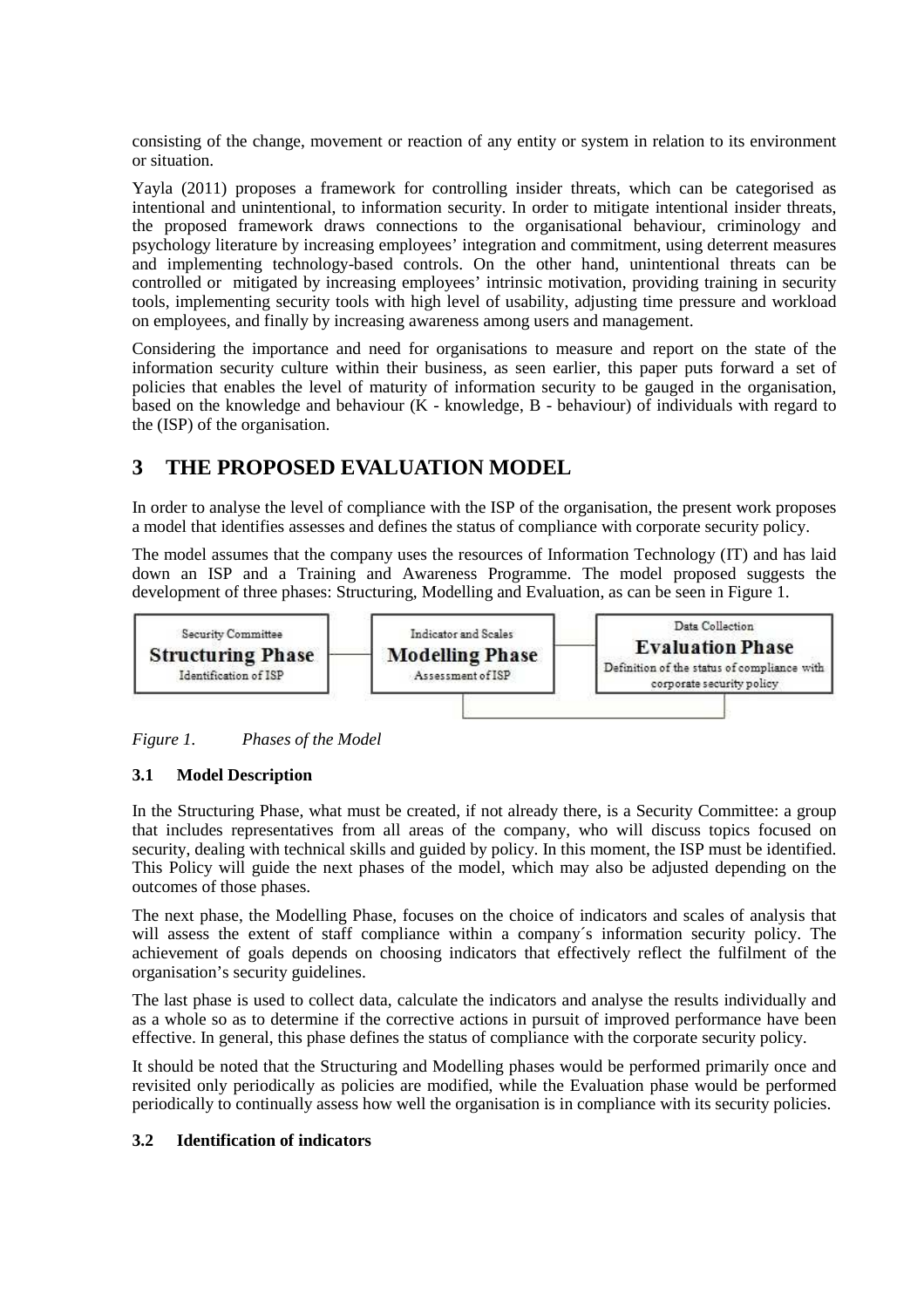consisting of the change, movement or reaction of any entity or system in relation to its environment or situation.

Yayla (2011) proposes a framework for controlling insider threats, which can be categorised as intentional and unintentional, to information security. In order to mitigate intentional insider threats, the proposed framework draws connections to the organisational behaviour, criminology and psychology literature by increasing employees' integration and commitment, using deterrent measures and implementing technology-based controls. On the other hand, unintentional threats can be controlled or mitigated by increasing employees' intrinsic motivation, providing training in security tools, implementing security tools with high level of usability, adjusting time pressure and workload on employees, and finally by increasing awareness among users and management.

Considering the importance and need for organisations to measure and report on the state of the information security culture within their business, as seen earlier, this paper puts forward a set of policies that enables the level of maturity of information security to be gauged in the organisation, based on the knowledge and behaviour  $(K -$  knowledge,  $B -$  behaviour) of individuals with regard to the (ISP) of the organisation.

## **3 THE PROPOSED EVALUATION MODEL**

In order to analyse the level of compliance with the ISP of the organisation, the present work proposes a model that identifies assesses and defines the status of compliance with corporate security policy.

The model assumes that the company uses the resources of Information Technology (IT) and has laid down an ISP and a Training and Awareness Programme. The model proposed suggests the development of three phases: Structuring, Modelling and Evaluation, as can be seen in Figure 1.



#### *Figure 1. Phases of the Model*

#### **3.1 Model Description**

In the Structuring Phase, what must be created, if not already there, is a Security Committee: a group that includes representatives from all areas of the company, who will discuss topics focused on security, dealing with technical skills and guided by policy. In this moment, the ISP must be identified. This Policy will guide the next phases of the model, which may also be adjusted depending on the outcomes of those phases.

The next phase, the Modelling Phase, focuses on the choice of indicators and scales of analysis that will assess the extent of staff compliance within a company´s information security policy. The achievement of goals depends on choosing indicators that effectively reflect the fulfilment of the organisation's security guidelines.

The last phase is used to collect data, calculate the indicators and analyse the results individually and as a whole so as to determine if the corrective actions in pursuit of improved performance have been effective. In general, this phase defines the status of compliance with the corporate security policy.

It should be noted that the Structuring and Modelling phases would be performed primarily once and revisited only periodically as policies are modified, while the Evaluation phase would be performed periodically to continually assess how well the organisation is in compliance with its security policies.

#### **3.2 Identification of indicators**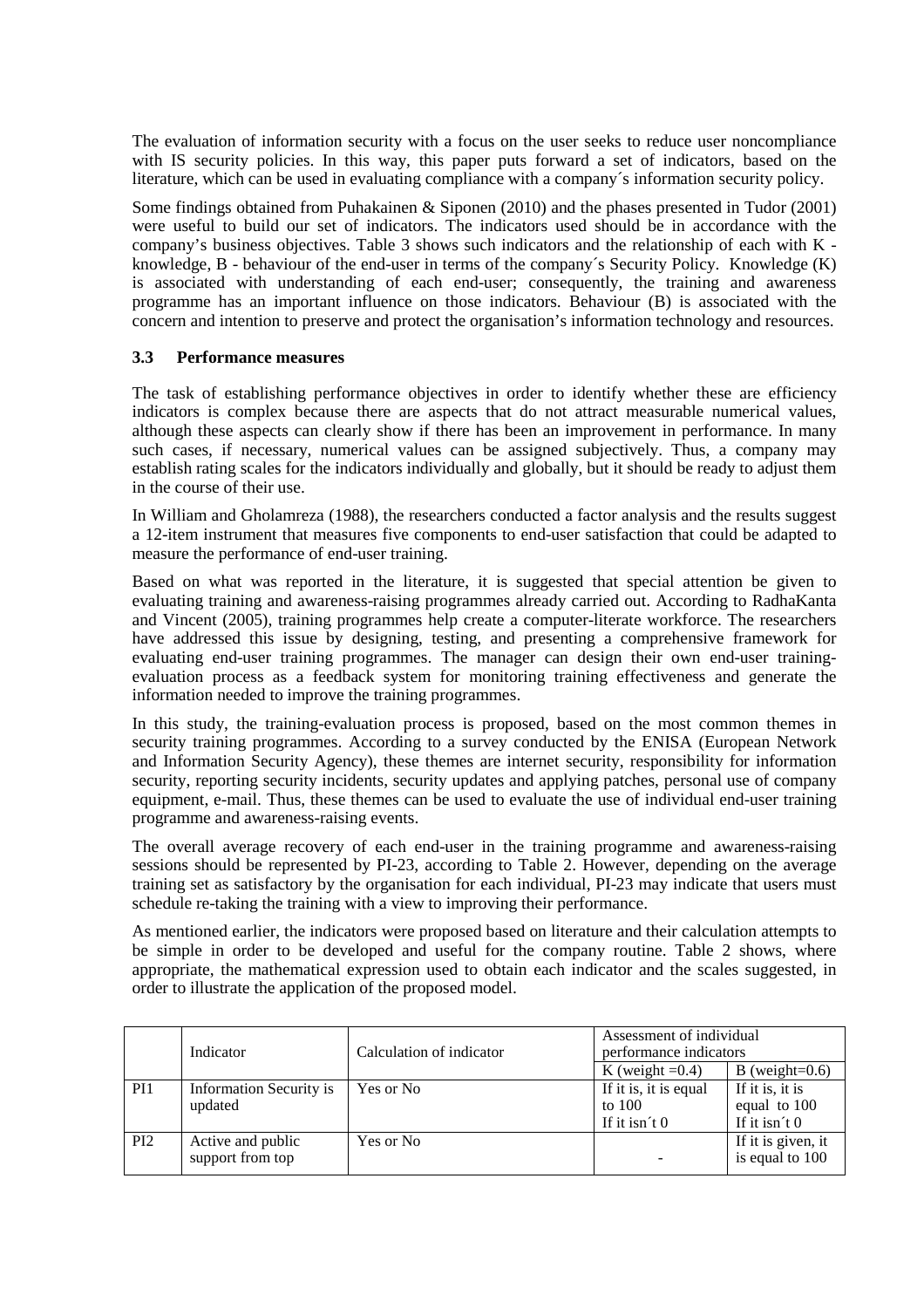The evaluation of information security with a focus on the user seeks to reduce user noncompliance with IS security policies. In this way, this paper puts forward a set of indicators, based on the literature, which can be used in evaluating compliance with a company´s information security policy.

Some findings obtained from Puhakainen & Siponen (2010) and the phases presented in Tudor (2001) were useful to build our set of indicators. The indicators used should be in accordance with the company's business objectives. Table 3 shows such indicators and the relationship of each with K knowledge, B - behaviour of the end-user in terms of the company´s Security Policy. Knowledge (K) is associated with understanding of each end-user; consequently, the training and awareness programme has an important influence on those indicators. Behaviour (B) is associated with the concern and intention to preserve and protect the organisation's information technology and resources.

#### **3.3 Performance measures**

The task of establishing performance objectives in order to identify whether these are efficiency indicators is complex because there are aspects that do not attract measurable numerical values, although these aspects can clearly show if there has been an improvement in performance. In many such cases, if necessary, numerical values can be assigned subjectively. Thus, a company may establish rating scales for the indicators individually and globally, but it should be ready to adjust them in the course of their use.

In William and Gholamreza (1988), the researchers conducted a factor analysis and the results suggest a 12-item instrument that measures five components to end-user satisfaction that could be adapted to measure the performance of end-user training.

Based on what was reported in the literature, it is suggested that special attention be given to evaluating training and awareness-raising programmes already carried out. According to RadhaKanta and Vincent (2005), training programmes help create a computer-literate workforce. The researchers have addressed this issue by designing, testing, and presenting a comprehensive framework for evaluating end-user training programmes. The manager can design their own end-user trainingevaluation process as a feedback system for monitoring training effectiveness and generate the information needed to improve the training programmes.

In this study, the training-evaluation process is proposed, based on the most common themes in security training programmes. According to a survey conducted by the ENISA (European Network and Information Security Agency), these themes are internet security, responsibility for information security, reporting security incidents, security updates and applying patches, personal use of company equipment, e-mail. Thus, these themes can be used to evaluate the use of individual end-user training programme and awareness-raising events.

The overall average recovery of each end-user in the training programme and awareness-raising sessions should be represented by PI-23, according to Table 2. However, depending on the average training set as satisfactory by the organisation for each individual, PI-23 may indicate that users must schedule re-taking the training with a view to improving their performance.

As mentioned earlier, the indicators were proposed based on literature and their calculation attempts to be simple in order to be developed and useful for the company routine. Table 2 shows, where appropriate, the mathematical expression used to obtain each indicator and the scales suggested, in order to illustrate the application of the proposed model.

|                 | Indicator                                 | Calculation of indicator | Assessment of individual<br>performance indicators |                                                    |
|-----------------|-------------------------------------------|--------------------------|----------------------------------------------------|----------------------------------------------------|
|                 |                                           |                          | K (weight $=0.4$ )                                 | B (weight= $0.6$ )                                 |
| PI <sub>1</sub> | <b>Information Security is</b><br>updated | Yes or No                | If it is, it is equal<br>to 100<br>If it isn't $0$ | If it is, it is<br>equal to 100<br>If it isn't $0$ |
| PI <sub>2</sub> | Active and public<br>support from top     | Yes or No                |                                                    | If it is given, it<br>is equal to 100              |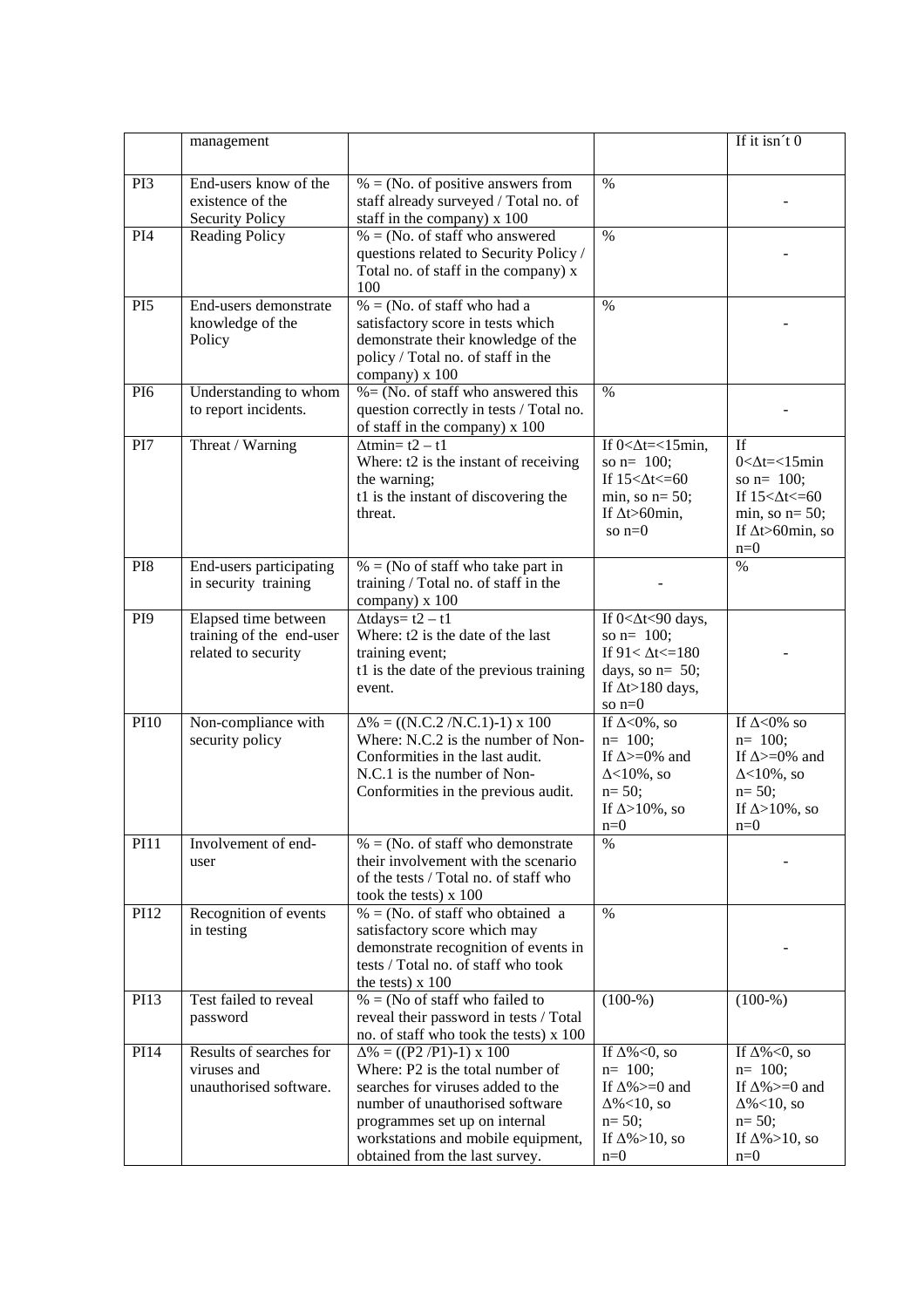|                 | management                                                              |                                                                                                                                                                                                                                                          |                                                                                                                                       | If it isn't $0$                                                                                                                 |
|-----------------|-------------------------------------------------------------------------|----------------------------------------------------------------------------------------------------------------------------------------------------------------------------------------------------------------------------------------------------------|---------------------------------------------------------------------------------------------------------------------------------------|---------------------------------------------------------------------------------------------------------------------------------|
| PI3             | End-users know of the<br>existence of the<br><b>Security Policy</b>     | $% = (No. of positive answers from$<br>staff already surveyed / Total no. of<br>staff in the company) x 100                                                                                                                                              | $\%$                                                                                                                                  |                                                                                                                                 |
| PI4             | <b>Reading Policy</b>                                                   | $% = (No. of staff who answered)$<br>questions related to Security Policy /<br>Total no. of staff in the company) x<br>100                                                                                                                               | $\%$                                                                                                                                  |                                                                                                                                 |
| PI <sub>5</sub> | End-users demonstrate<br>knowledge of the<br>Policy                     | $% = (No. of staff who had a)$<br>satisfactory score in tests which<br>demonstrate their knowledge of the<br>policy / Total no. of staff in the<br>company) x 100                                                                                        | $\%$                                                                                                                                  |                                                                                                                                 |
| PI <sub>6</sub> | Understanding to whom<br>to report incidents.                           | $% = (No. of staff who answered this)$<br>question correctly in tests / Total no.<br>of staff in the company) x 100                                                                                                                                      | $\frac{0}{0}$                                                                                                                         |                                                                                                                                 |
| PI7             | Threat / Warning                                                        | $\Delta \text{tmin} = t2 - t1$<br>Where: t2 is the instant of receiving<br>the warning;<br>t1 is the instant of discovering the<br>threat.                                                                                                               | If $0<\Delta t=<15$ min,<br>so $n=100$ ;<br>If $15 < \Delta t < 60$<br>min, so $n=50$ ;<br>If $\Delta t$ >60min,<br>so $n=0$          | If<br>$0<\Delta t=<15$ min<br>so $n=100$ ;<br>If $15 < \Delta t < 60$<br>min, so $n=50$ ;<br>If $\Delta t$ >60min, so<br>$n=0$  |
| PI8             | End-users participating<br>in security training                         | $% = (No of staff who take part in$<br>training / Total no. of staff in the<br>company) x 100                                                                                                                                                            |                                                                                                                                       | $\%$                                                                                                                            |
| PI <sub>9</sub> | Elapsed time between<br>training of the end-user<br>related to security | $\Delta t$ days= $t2 - t1$<br>Where: t2 is the date of the last<br>training event;<br>t1 is the date of the previous training<br>event.                                                                                                                  | If $0<\Delta t<90$ days,<br>so $n=100$ ;<br>If $91 < \Delta t \leq 180$<br>days, so $n=50$ ;<br>If $\Delta t > 180$ days,<br>so $n=0$ |                                                                                                                                 |
| PI10            | Non-compliance with<br>security policy                                  | $\Delta\% = ((N.C.2/N.C.1)-1)x100$<br>Where: N.C.2 is the number of Non-<br>Conformities in the last audit.<br>N.C.1 is the number of Non-<br>Conformities in the previous audit.                                                                        | If $\Delta < 0\%$ , so<br>$n=100;$<br>If $\Delta > = 0\%$ and<br>$\Delta$ <10%, so<br>$n=50;$<br>If $\Delta > 10\%$ , so<br>$n=0$     | If $\Delta < 0\%$ so<br>$n=100;$<br>If $\Delta > = 0\%$ and<br>$\Delta$ <10%, so<br>$n=50;$<br>If $\Delta > 10\%$ , so<br>$n=0$ |
| <b>PI11</b>     | Involvement of end-<br>user                                             | $\% = (No. of staff who demonstrate)$<br>their involvement with the scenario<br>of the tests / Total no. of staff who<br>took the tests) $x 100$                                                                                                         | $\%$                                                                                                                                  |                                                                                                                                 |
| PI12            | Recognition of events<br>in testing                                     | $% = (No. of staff who obtained a)$<br>satisfactory score which may<br>demonstrate recognition of events in<br>tests / Total no. of staff who took<br>the tests) $x 100$                                                                                 | $\%$                                                                                                                                  |                                                                                                                                 |
| PI13            | Test failed to reveal<br>password                                       | $% = (No of staff who failed to$<br>reveal their password in tests / Total<br>no. of staff who took the tests) x 100                                                                                                                                     | $(100-%)$                                                                                                                             | $(100-%)$                                                                                                                       |
| PI14            | Results of searches for<br>viruses and<br>unauthorised software.        | $\Delta\% = ((P2/P1)-1) \times 100$<br>Where: P2 is the total number of<br>searches for viruses added to the<br>number of unauthorised software<br>programmes set up on internal<br>workstations and mobile equipment,<br>obtained from the last survey. | If $\Delta\%$ <0, so<br>$n=100;$<br>If $\Delta\%>=0$ and<br>$\Delta\%$ <10, so<br>$n=50;$<br>If $\Delta\% > 10$ , so<br>$n=0$         | If $\Delta\%$ <0, so<br>$n=100;$<br>If $\Delta\%$ >=0 and<br>$\Delta\%$ <10, so<br>$n=50;$<br>If $\Delta\% > 10$ , so<br>$n=0$  |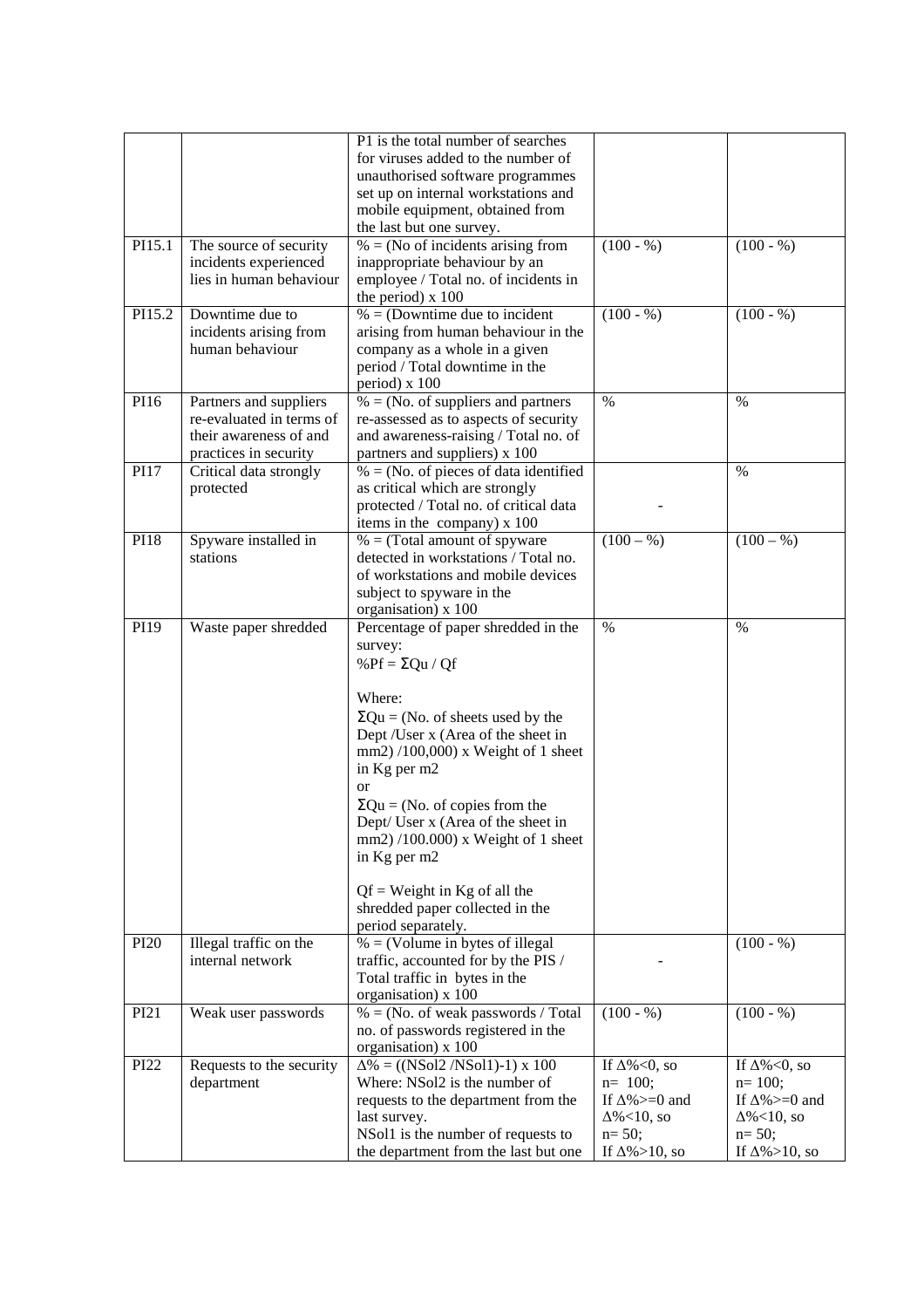| PI15.1           | The source of security<br>incidents experienced<br>lies in human behaviour                            | P1 is the total number of searches<br>for viruses added to the number of<br>unauthorised software programmes<br>set up on internal workstations and<br>mobile equipment, obtained from<br>the last but one survey.<br>$% = (No of incidents arising from$<br>inappropriate behaviour by an<br>employee / Total no. of incidents in<br>the period) $x 100$                                                                                                                        | $(100 - %)$                                                                                                          | $(100 - \frac{1}{6})$                                                                                                 |
|------------------|-------------------------------------------------------------------------------------------------------|----------------------------------------------------------------------------------------------------------------------------------------------------------------------------------------------------------------------------------------------------------------------------------------------------------------------------------------------------------------------------------------------------------------------------------------------------------------------------------|----------------------------------------------------------------------------------------------------------------------|-----------------------------------------------------------------------------------------------------------------------|
| PI15.2           | Downtime due to<br>incidents arising from<br>human behaviour                                          | $% = (Downtime due to incident$<br>arising from human behaviour in the<br>company as a whole in a given<br>period / Total downtime in the<br>period) x 100                                                                                                                                                                                                                                                                                                                       | $(100 - %)$                                                                                                          | $(100 - %)$                                                                                                           |
| PI16             | Partners and suppliers<br>re-evaluated in terms of<br>their awareness of and<br>practices in security | $% = (No. of suppliers and partners)$<br>re-assessed as to aspects of security<br>and awareness-raising / Total no. of<br>partners and suppliers) x 100                                                                                                                                                                                                                                                                                                                          | $\%$                                                                                                                 | $\%$                                                                                                                  |
| PI17             | Critical data strongly<br>protected                                                                   | $% = (No. of pieces of data identified)$<br>as critical which are strongly<br>protected / Total no. of critical data<br>items in the company) x 100                                                                                                                                                                                                                                                                                                                              |                                                                                                                      | $\%$                                                                                                                  |
| <b>PI18</b>      | Spyware installed in<br>stations                                                                      | $% =$ (Total amount of spyware<br>detected in workstations / Total no.<br>of workstations and mobile devices<br>subject to spyware in the<br>organisation) x 100                                                                                                                                                                                                                                                                                                                 | $(100 - %)$                                                                                                          | $(100 - %)$                                                                                                           |
| PI19             | Waste paper shredded                                                                                  | Percentage of paper shredded in the<br>survey:<br>% $Pf = \Sigma Qu / Qf$<br>Where:<br>$\Sigma Qu = (No. of sheets used by the$<br>Dept /User x (Area of the sheet in<br>mm2) $/100,000$ x Weight of 1 sheet<br>in Kg per m2<br><sub>or</sub><br>$\Sigma Qu = (No. of copies from the$<br>Dept/ User x (Area of the sheet in<br>mm2) $/100.000$ ) x Weight of 1 sheet<br>in Kg per m2<br>$Qf = Weight in Kg of all the$<br>shredded paper collected in the<br>period separately. | $\%$                                                                                                                 | $\%$                                                                                                                  |
| PI <sub>20</sub> | Illegal traffic on the<br>internal network                                                            | $% = (Volume in bytes of illegal)$<br>traffic, accounted for by the PIS /<br>Total traffic in bytes in the<br>organisation) x 100                                                                                                                                                                                                                                                                                                                                                |                                                                                                                      | $(100 - %)$                                                                                                           |
| PI21             | Weak user passwords                                                                                   | $% = (No. of weak passwords / Total)$<br>no. of passwords registered in the<br>organisation) x 100                                                                                                                                                                                                                                                                                                                                                                               | $(100 - %)$                                                                                                          | $(100 - %)$                                                                                                           |
| <b>PI22</b>      | Requests to the security<br>department                                                                | $\Delta\% = ((NSol2/NSol1)-1)x 100$<br>Where: NSol2 is the number of<br>requests to the department from the<br>last survey.<br>NSol1 is the number of requests to<br>the department from the last but one                                                                                                                                                                                                                                                                        | If $\Delta\%$ <0, so<br>$n=100;$<br>If $\Delta\%>=0$ and<br>$\Delta\%$ <10, so<br>$n=50;$<br>If $\Delta\% > 10$ , so | If $\Delta\%$ <0, so<br>$n=100;$<br>If $\Delta\%$ >=0 and<br>$\Delta\%$ <10, so<br>$n=50;$<br>If $\Delta\% > 10$ , so |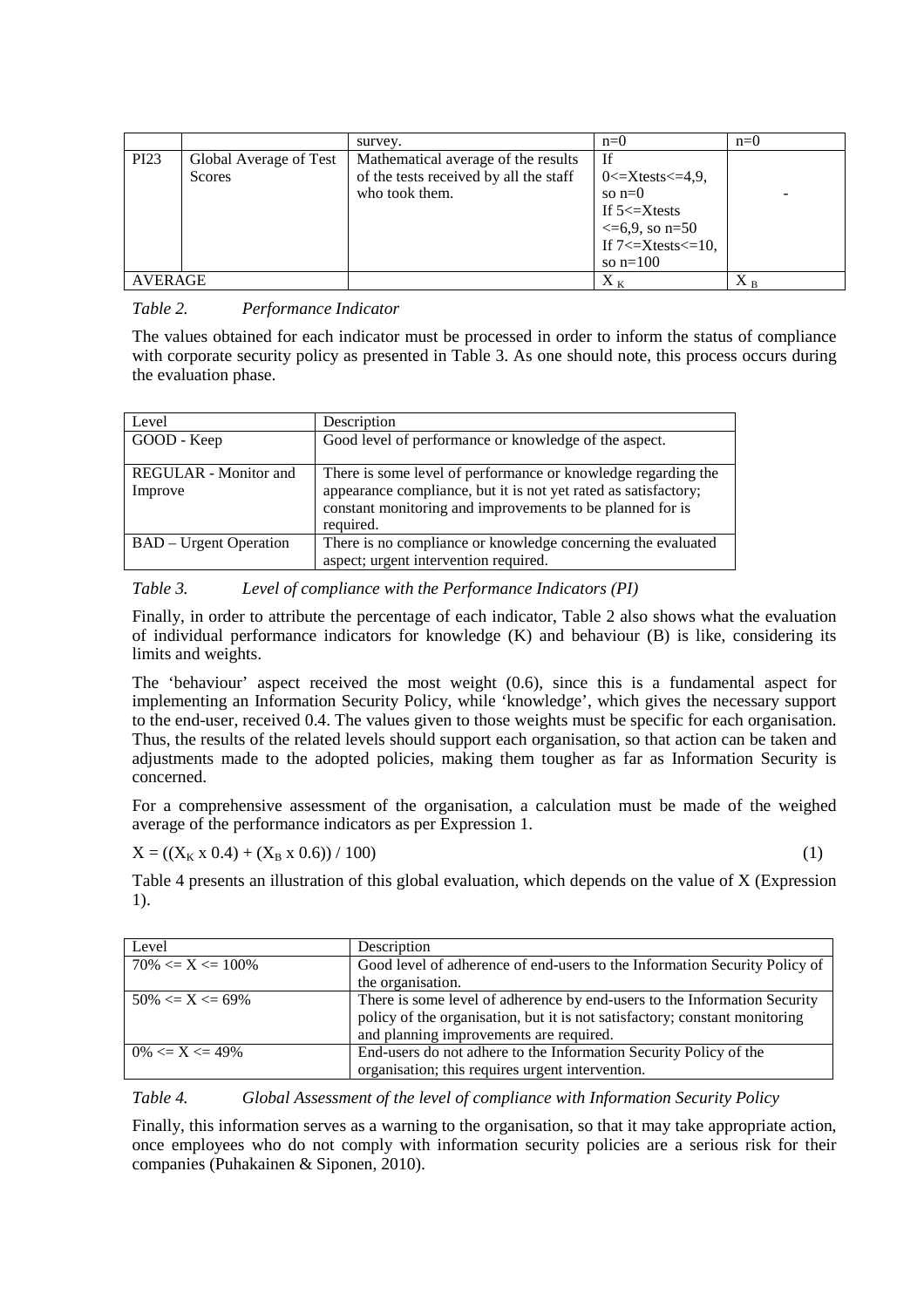|                |                        | survey.                                | $n=0$                                | $n=0$       |
|----------------|------------------------|----------------------------------------|--------------------------------------|-------------|
| <b>PI23</b>    | Global Average of Test | Mathematical average of the results    | If                                   |             |
|                | Scores                 | of the tests received by all the staff | $0 \leq X \text{tests} \leq 4,9,$    |             |
|                |                        | who took them.                         | so $n=0$                             |             |
|                |                        |                                        | If $5 \leq$ Xtests                   |             |
|                |                        |                                        | $\leq 6.9$ , so n=50                 |             |
|                |                        |                                        | If $7 \leq X \text{tests} \leq 10$ , |             |
|                |                        |                                        | so $n=100$                           |             |
| <b>AVERAGE</b> |                        |                                        | $X_{\kappa}$                         | ${\rm X}$ R |

#### *Table 2. Performance Indicator*

The values obtained for each indicator must be processed in order to inform the status of compliance with corporate security policy as presented in Table 3. As one should note, this process occurs during the evaluation phase.

| Level                                   | Description                                                                                                                                                                                                |
|-----------------------------------------|------------------------------------------------------------------------------------------------------------------------------------------------------------------------------------------------------------|
| GOOD - Keep                             | Good level of performance or knowledge of the aspect.                                                                                                                                                      |
| <b>REGULAR</b> - Monitor and<br>Improve | There is some level of performance or knowledge regarding the<br>appearance compliance, but it is not yet rated as satisfactory;<br>constant monitoring and improvements to be planned for is<br>required. |
| <b>BAD</b> – Urgent Operation           | There is no compliance or knowledge concerning the evaluated<br>aspect; urgent intervention required.                                                                                                      |

#### *Table 3. Level of compliance with the Performance Indicators (PI)*

Finally, in order to attribute the percentage of each indicator, Table 2 also shows what the evaluation of individual performance indicators for knowledge (K) and behaviour (B) is like, considering its limits and weights.

The 'behaviour' aspect received the most weight (0.6), since this is a fundamental aspect for implementing an Information Security Policy, while 'knowledge', which gives the necessary support to the end-user, received 0.4. The values given to those weights must be specific for each organisation. Thus, the results of the related levels should support each organisation, so that action can be taken and adjustments made to the adopted policies, making them tougher as far as Information Security is concerned.

For a comprehensive assessment of the organisation, a calculation must be made of the weighed average of the performance indicators as per Expression 1.

$$
X = ((XK x 0.4) + (XB x 0.6)) / 100)
$$
 (1)

Table 4 presents an illustration of this global evaluation, which depends on the value of X (Expression 1).

| Level                   | Description                                                                 |
|-------------------------|-----------------------------------------------------------------------------|
| $70\% \le X \le 100\%$  | Good level of adherence of end-users to the Information Security Policy of  |
|                         | the organisation.                                                           |
| $50\% \leq X \leq 69\%$ | There is some level of adherence by end-users to the Information Security   |
|                         | policy of the organisation, but it is not satisfactory; constant monitoring |
|                         | and planning improvements are required.                                     |
| $0\% \leq X \leq 49\%$  | End-users do not adhere to the Information Security Policy of the           |
|                         | organisation; this requires urgent intervention.                            |

*Table 4. Global Assessment of the level of compliance with Information Security Policy* 

Finally, this information serves as a warning to the organisation, so that it may take appropriate action, once employees who do not comply with information security policies are a serious risk for their companies (Puhakainen & Siponen, 2010).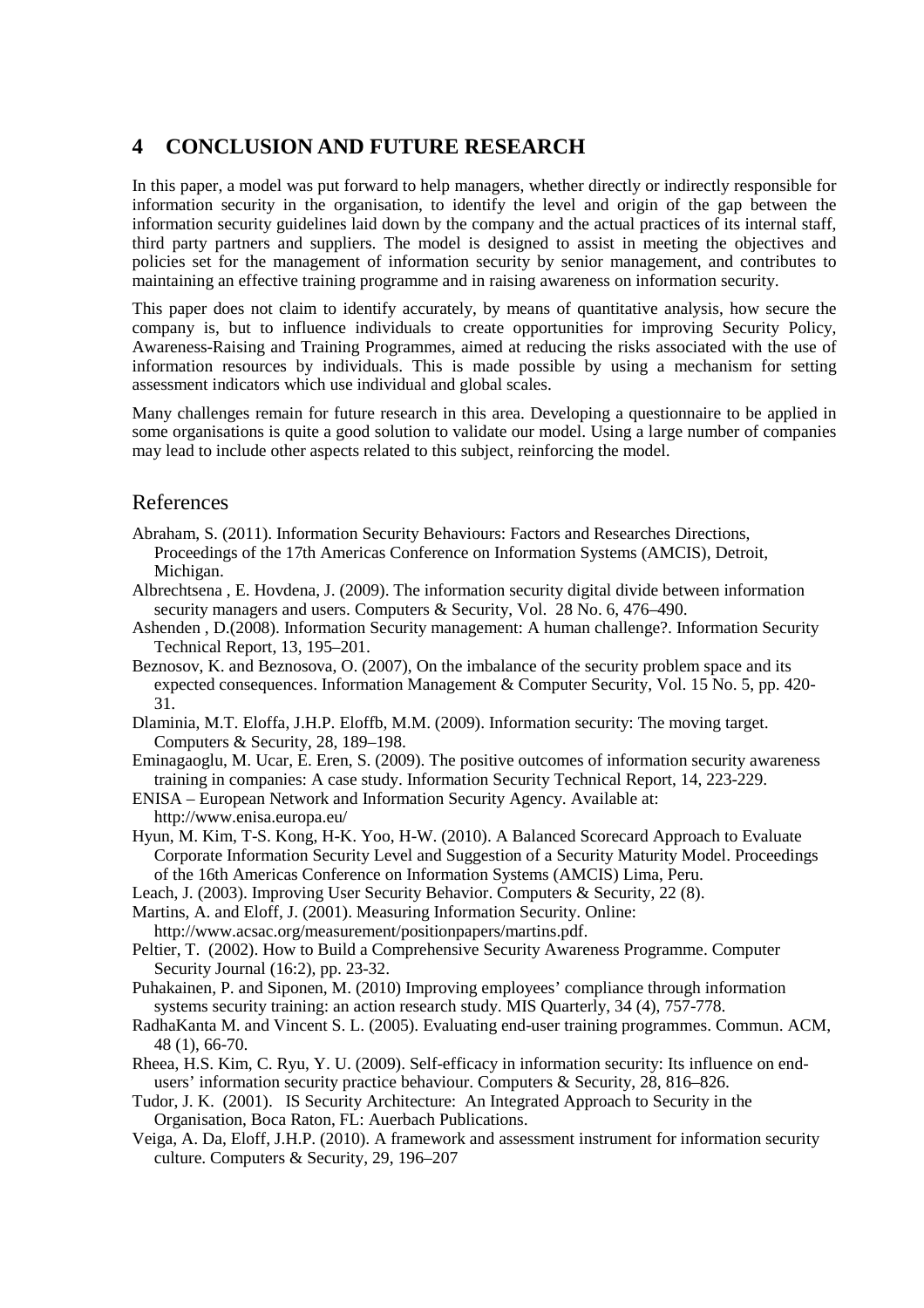### **4 CONCLUSION AND FUTURE RESEARCH**

In this paper, a model was put forward to help managers, whether directly or indirectly responsible for information security in the organisation, to identify the level and origin of the gap between the information security guidelines laid down by the company and the actual practices of its internal staff, third party partners and suppliers. The model is designed to assist in meeting the objectives and policies set for the management of information security by senior management, and contributes to maintaining an effective training programme and in raising awareness on information security.

This paper does not claim to identify accurately, by means of quantitative analysis, how secure the company is, but to influence individuals to create opportunities for improving Security Policy, Awareness-Raising and Training Programmes, aimed at reducing the risks associated with the use of information resources by individuals. This is made possible by using a mechanism for setting assessment indicators which use individual and global scales.

Many challenges remain for future research in this area. Developing a questionnaire to be applied in some organisations is quite a good solution to validate our model. Using a large number of companies may lead to include other aspects related to this subject, reinforcing the model.

#### References

- Abraham, S. (2011). Information Security Behaviours: Factors and Researches Directions, Proceedings of the 17th Americas Conference on Information Systems (AMCIS), Detroit, Michigan.
- Albrechtsena , E. Hovdena, J. (2009). The information security digital divide between information security managers and users. Computers & Security, Vol. 28 No. 6, 476–490.
- Ashenden , D.(2008). Information Security management: A human challenge?. Information Security Technical Report, 13, 195–201.
- Beznosov, K. and Beznosova, O. (2007), On the imbalance of the security problem space and its expected consequences. Information Management & Computer Security, Vol. 15 No. 5, pp. 420- 31.
- Dlaminia, M.T. Eloffa, J.H.P. Eloffb, M.M. (2009). Information security: The moving target. Computers & Security, 28, 189–198.
- Eminagaoglu, M. Ucar, E. Eren, S. (2009). The positive outcomes of information security awareness training in companies: A case study. Information Security Technical Report, 14, 223-229.

ENISA – European Network and Information Security Agency. Available at: http://www.enisa.europa.eu/

- Hyun, M. Kim, T-S. Kong, H-K. Yoo, H-W. (2010). A Balanced Scorecard Approach to Evaluate Corporate Information Security Level and Suggestion of a Security Maturity Model. Proceedings of the 16th Americas Conference on Information Systems (AMCIS) Lima, Peru.
- Leach, J. (2003). Improving User Security Behavior. Computers & Security, 22 (8).
- Martins, A. and Eloff, J. (2001). Measuring Information Security. Online:

http://www.acsac.org/measurement/positionpapers/martins.pdf.

- Peltier, T. (2002). How to Build a Comprehensive Security Awareness Programme. Computer Security Journal (16:2), pp. 23-32.
- Puhakainen, P. and Siponen, M. (2010) Improving employees' compliance through information systems security training: an action research study. MIS Quarterly, 34 (4), 757-778.
- RadhaKanta M. and Vincent S. L. (2005). Evaluating end-user training programmes. Commun. ACM, 48 (1), 66-70.
- Rheea, H.S. Kim, C. Ryu, Y. U. (2009). Self-efficacy in information security: Its influence on endusers' information security practice behaviour. Computers & Security, 28, 816–826.
- Tudor, J. K. (2001). IS Security Architecture: An Integrated Approach to Security in the Organisation, Boca Raton, FL: Auerbach Publications.
- Veiga, A. Da, Eloff, J.H.P. (2010). A framework and assessment instrument for information security culture. Computers & Security, 29, 196–207